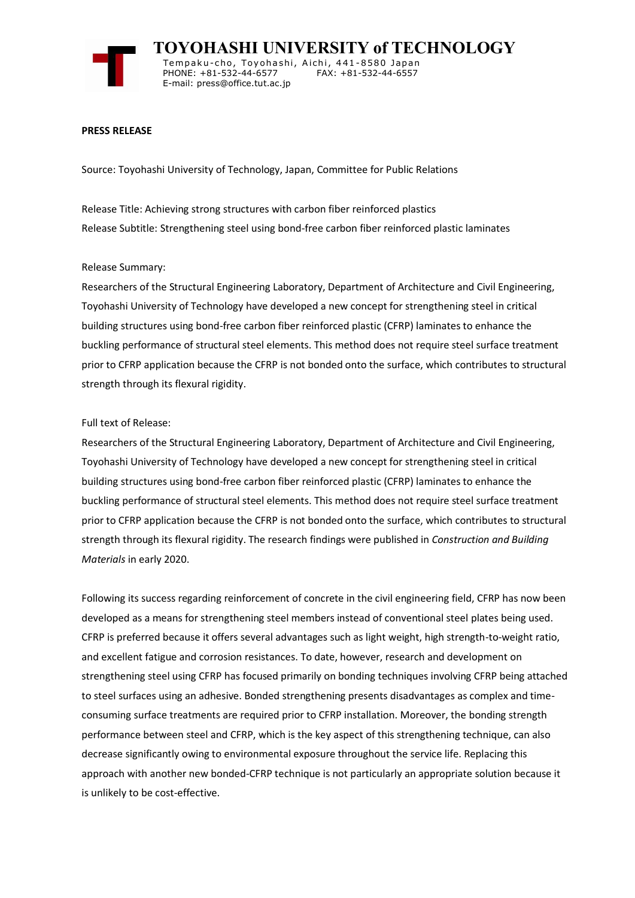

 **TOYOHASHI UNIVERSITY of TECHNOLOGY** Tempaku-cho, Toyohashi, Aichi, 441-8580 Japan<br>PHONE: +81-532-44-6577 FAX: +81-532-44-6557 PHONE: +81-532-44-6577 E-mail: press@office.tut.ac.jp

## **PRESS RELEASE**

Source: Toyohashi University of Technology, Japan, Committee for Public Relations

Release Title: Achieving strong structures with carbon fiber reinforced plastics Release Subtitle: Strengthening steel using bond-free carbon fiber reinforced plastic laminates

## Release Summary:

Researchers of the Structural Engineering Laboratory, Department of Architecture and Civil Engineering, Toyohashi University of Technology have developed a new concept for strengthening steel in critical building structures using bond-free carbon fiber reinforced plastic (CFRP) laminates to enhance the buckling performance of structural steel elements. This method does not require steel surface treatment prior to CFRP application because the CFRP is not bonded onto the surface, which contributes to structural strength through its flexural rigidity.

## Full text of Release:

Researchers of the Structural Engineering Laboratory, Department of Architecture and Civil Engineering, Toyohashi University of Technology have developed a new concept for strengthening steel in critical building structures using bond-free carbon fiber reinforced plastic (CFRP) laminates to enhance the buckling performance of structural steel elements. This method does not require steel surface treatment prior to CFRP application because the CFRP is not bonded onto the surface, which contributes to structural strength through its flexural rigidity. The research findings were published in *Construction and Building Materials* in early 2020.

Following its success regarding reinforcement of concrete in the civil engineering field, CFRP has now been developed as a means for strengthening steel members instead of conventional steel plates being used. CFRP is preferred because it offers several advantages such as light weight, high strength-to-weight ratio, and excellent fatigue and corrosion resistances. To date, however, research and development on strengthening steel using CFRP has focused primarily on bonding techniques involving CFRP being attached to steel surfaces using an adhesive. Bonded strengthening presents disadvantages as complex and timeconsuming surface treatments are required prior to CFRP installation. Moreover, the bonding strength performance between steel and CFRP, which is the key aspect of this strengthening technique, can also decrease significantly owing to environmental exposure throughout the service life. Replacing this approach with another new bonded-CFRP technique is not particularly an appropriate solution because it is unlikely to be cost-effective.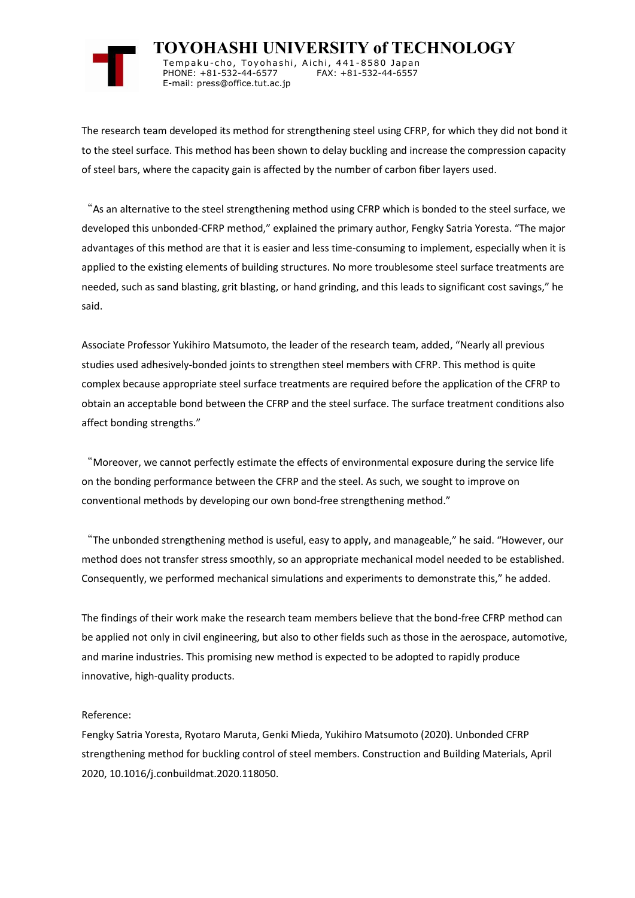

 **TOYOHASHI UNIVERSITY of TECHNOLOGY** Tempaku-cho, Toyohashi, Aichi, 441-8580 Japan<br>PHONE: +81-532-44-6577 FAX: +81-532-44-6557 PHONE: +81-532-44-6577 E-mail: press@office.tut.ac.jp

The research team developed its method for strengthening steel using CFRP, for which they did not bond it to the steel surface. This method has been shown to delay buckling and increase the compression capacity of steel bars, where the capacity gain is affected by the number of carbon fiber layers used.

"As an alternative to the steel strengthening method using CFRP which is bonded to the steel surface, we developed this unbonded-CFRP method," explained the primary author, Fengky Satria Yoresta. "The major advantages of this method are that it is easier and less time-consuming to implement, especially when it is applied to the existing elements of building structures. No more troublesome steel surface treatments are needed, such as sand blasting, grit blasting, or hand grinding, and this leads to significant cost savings," he said.

Associate Professor Yukihiro Matsumoto, the leader of the research team, added, "Nearly all previous studies used adhesively-bonded joints to strengthen steel members with CFRP. This method is quite complex because appropriate steel surface treatments are required before the application of the CFRP to obtain an acceptable bond between the CFRP and the steel surface. The surface treatment conditions also affect bonding strengths."

"Moreover, we cannot perfectly estimate the effects of environmental exposure during the service life on the bonding performance between the CFRP and the steel. As such, we sought to improve on conventional methods by developing our own bond-free strengthening method."

"The unbonded strengthening method is useful, easy to apply, and manageable," he said. "However, our method does not transfer stress smoothly, so an appropriate mechanical model needed to be established. Consequently, we performed mechanical simulations and experiments to demonstrate this," he added.

The findings of their work make the research team members believe that the bond-free CFRP method can be applied not only in civil engineering, but also to other fields such as those in the aerospace, automotive, and marine industries. This promising new method is expected to be adopted to rapidly produce innovative, high-quality products.

## Reference:

Fengky Satria Yoresta, Ryotaro Maruta, Genki Mieda, Yukihiro Matsumoto (2020). Unbonded CFRP strengthening method for buckling control of steel members. Construction and Building Materials, April 2020, 10.1016/j.conbuildmat.2020.118050.